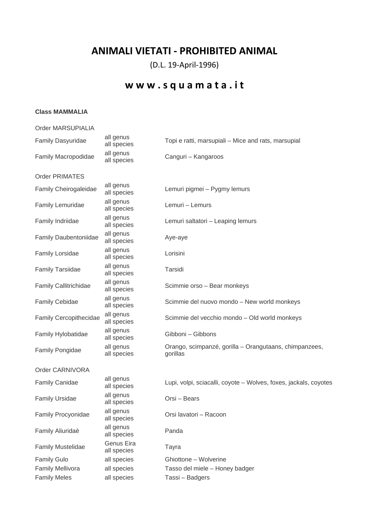## **ANIMALI VIETATI - PROHIBITED ANIMAL**

(D.L. 19-April-1996)

## **w w w . s q u a m a t a . i t**

## **Class MAMMALIA**

| Order MARSUPIALIA            |                           |                                                                    |
|------------------------------|---------------------------|--------------------------------------------------------------------|
| Family Dasyuridae            | all genus<br>all species  | Topi e ratti, marsupiali - Mice and rats, marsupial                |
| Family Macropodidae          | all genus<br>all species  | Canguri - Kangaroos                                                |
| <b>Order PRIMATES</b>        |                           |                                                                    |
| <b>Family Cheirogaleidae</b> | all genus<br>all species  | Lemuri pigmei - Pygmy lemurs                                       |
| Family Lemuridae             | all genus<br>all species  | Lemuri - Lemurs                                                    |
| Family Indriidae             | all genus<br>all species  | Lemuri saltatori - Leaping lemurs                                  |
| Family Daubentoniidae        | all genus<br>all species  | Aye-aye                                                            |
| Family Lorsidae              | all genus<br>all species  | Lorisini                                                           |
| <b>Family Tarsiidae</b>      | all genus<br>all species  | Tarsidi                                                            |
| <b>Family Callitrichidae</b> | all genus<br>all species  | Scimmie orso - Bear monkeys                                        |
| <b>Family Cebidae</b>        | all genus<br>all species  | Scimmie del nuovo mondo - New world monkeys                        |
| Family Cercopithecidae       | all genus<br>all species  | Scimmie del vecchio mondo - Old world monkeys                      |
| Family Hylobatidae           | all genus<br>all species  | Gibboni - Gibbons                                                  |
| Family Pongidae              | all genus<br>all species  | Orango, scimpanzé, gorilla - Orangutaans, chimpanzees,<br>gorillas |
| Order CARNIVORA              |                           |                                                                    |
| <b>Family Canidae</b>        | all genus<br>all species  | Lupi, volpi, sciacalli, coyote - Wolves, foxes, jackals, coyotes   |
| <b>Family Ursidae</b>        | all genus<br>all species  | Orsi – Bears                                                       |
| Family Procyonidae           | all genus<br>all species  | Orsi lavatori - Racoon                                             |
| Family Aliuridaè             | all genus<br>all species  | Panda                                                              |
| <b>Family Mustelidae</b>     | Genus Eira<br>all species | Tayra                                                              |
| <b>Family Gulo</b>           | all species               | Ghiottone - Wolverine                                              |
| <b>Family Mellivora</b>      | all species               | Tasso del miele - Honey badger                                     |
| <b>Family Meles</b>          | all species               | Tassi - Badgers                                                    |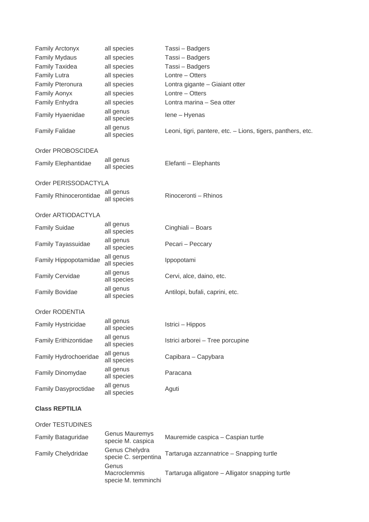| <b>Family Arctonyx</b>     | all species              | Tassi - Badgers                                             |
|----------------------------|--------------------------|-------------------------------------------------------------|
| <b>Family Mydaus</b>       | all species              | Tassi - Badgers                                             |
| Family Taxidea             | all species              | Tassi - Badgers                                             |
| <b>Family Lutra</b>        | all species              | Lontre - Otters                                             |
| <b>Family Pteronura</b>    | all species              | Lontra gigante - Giaiant otter                              |
| <b>Family Aonyx</b>        | all species              | Lontre - Otters                                             |
| Family Enhydra             | all species              | Lontra marina - Sea otter                                   |
| Family Hyaenidae           | all genus<br>all species | lene - Hyenas                                               |
| <b>Family Falidae</b>      | all genus<br>all species | Leoni, tigri, pantere, etc. - Lions, tigers, panthers, etc. |
| Order PROBOSCIDEA          |                          |                                                             |
| <b>Family Elephantidae</b> | all genus<br>all species | Elefanti - Elephants                                        |
| Order PERISSODACTYLA       |                          |                                                             |
| Family Rhinocerontidae     | all genus<br>all species | Rinoceronti - Rhinos                                        |
| Order ARTIODACTYLA         |                          |                                                             |
| <b>Family Suidae</b>       | all genus<br>all species | Cinghiali - Boars                                           |
| Family Tayassuidae         | all genus<br>all species | Pecari - Peccary                                            |
| Family Hippopotamidae      | all genus<br>all species | Ippopotami                                                  |
| <b>Family Cervidae</b>     | all genus<br>all species | Cervi, alce, daino, etc.                                    |
| <b>Family Bovidae</b>      | all genus<br>all species | Antilopi, bufali, caprini, etc.                             |
| Order RODENTIA             |                          |                                                             |
| Family Hystricidae         | all genus<br>all species | Istrici - Hippos                                            |
| Family Erithizontidae      | all genus<br>all species | Istrici arborei - Tree porcupine                            |
| Family Hydrochoeridae      | all genus<br>all species | Capibara - Capybara                                         |
| Family Dinomydae           | all genus<br>all species | Paracana                                                    |
| Family Dasyproctidae       | all genus<br>all species | Aguti                                                       |
| <b>Class REPTILIA</b>      |                          |                                                             |
| Order TESTUDINES           |                          |                                                             |
|                            |                          |                                                             |

| <b>Family Bataguridae</b> | Genus Mauremys<br>specie M. caspica                 | Mauremide caspica - Caspian turtle               |
|---------------------------|-----------------------------------------------------|--------------------------------------------------|
| <b>Family Chelydridae</b> | Genus Chelydra<br>specie C. serpentina              | Tartaruga azzannatrice - Snapping turtle         |
|                           | Genus<br><b>Macroclemmis</b><br>specie M. temminchi | Tartaruga alligatore - Alligator snapping turtle |